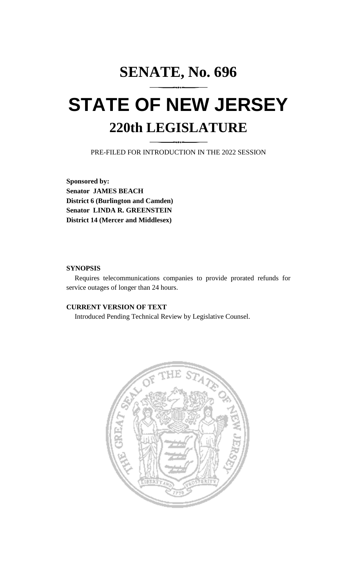# **SENATE, No. 696 STATE OF NEW JERSEY 220th LEGISLATURE**

PRE-FILED FOR INTRODUCTION IN THE 2022 SESSION

**Sponsored by: Senator JAMES BEACH District 6 (Burlington and Camden) Senator LINDA R. GREENSTEIN District 14 (Mercer and Middlesex)**

## **SYNOPSIS**

Requires telecommunications companies to provide prorated refunds for service outages of longer than 24 hours.

## **CURRENT VERSION OF TEXT**

Introduced Pending Technical Review by Legislative Counsel.

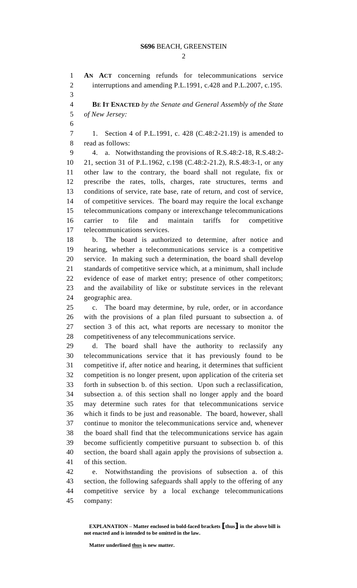#### **S696** BEACH, GREENSTEIN

 $\mathcal{D}_{\mathcal{L}}$ 

 **AN ACT** concerning refunds for telecommunications service 2 interruptions and amending P.L.1991, c.428 and P.L.2007, c.195. 

 **BE IT ENACTED** *by the Senate and General Assembly of the State of New Jersey:*

 1. Section 4 of P.L.1991, c. 428 (C.48:2-21.19) is amended to read as follows:

 4. a. Notwithstanding the provisions of R.S.48:2-18, R.S.48:2- 21, section 31 of P.L.1962, c.198 (C.48:2-21.2), R.S.48:3-1, or any other law to the contrary, the board shall not regulate, fix or prescribe the rates, tolls, charges, rate structures, terms and conditions of service, rate base, rate of return, and cost of service, of competitive services. The board may require the local exchange telecommunications company or interexchange telecommunications carrier to file and maintain tariffs for competitive telecommunications services.

 b. The board is authorized to determine, after notice and hearing, whether a telecommunications service is a competitive service. In making such a determination, the board shall develop standards of competitive service which, at a minimum, shall include evidence of ease of market entry; presence of other competitors; and the availability of like or substitute services in the relevant geographic area.

 c. The board may determine, by rule, order, or in accordance with the provisions of a plan filed pursuant to subsection a. of section 3 of this act, what reports are necessary to monitor the competitiveness of any telecommunications service.

 d. The board shall have the authority to reclassify any telecommunications service that it has previously found to be competitive if, after notice and hearing, it determines that sufficient competition is no longer present, upon application of the criteria set forth in subsection b. of this section. Upon such a reclassification, subsection a. of this section shall no longer apply and the board may determine such rates for that telecommunications service which it finds to be just and reasonable. The board, however, shall continue to monitor the telecommunications service and, whenever the board shall find that the telecommunications service has again become sufficiently competitive pursuant to subsection b. of this section, the board shall again apply the provisions of subsection a. of this section.

 e. Notwithstanding the provisions of subsection a. of this section, the following safeguards shall apply to the offering of any competitive service by a local exchange telecommunications company:

**Matter underlined thus is new matter.**

**EXPLANATION – Matter enclosed in bold-faced brackets [thus] in the above bill is not enacted and is intended to be omitted in the law.**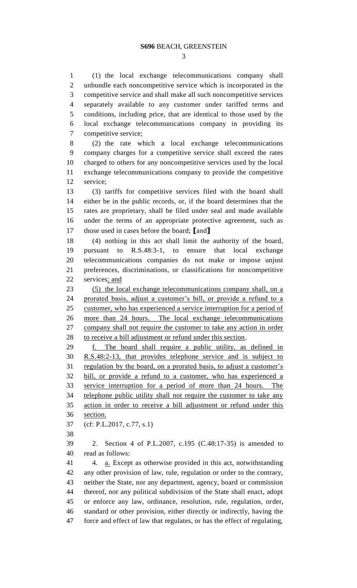(1) the local exchange telecommunications company shall unbundle each noncompetitive service which is incorporated in the competitive service and shall make all such noncompetitive services separately available to any customer under tariffed terms and conditions, including price, that are identical to those used by the local exchange telecommunications company in providing its competitive service;

 (2) the rate which a local exchange telecommunications company charges for a competitive service shall exceed the rates charged to others for any noncompetitive services used by the local exchange telecommunications company to provide the competitive service;

 (3) tariffs for competitive services filed with the board shall either be in the public records, or, if the board determines that the rates are proprietary, shall be filed under seal and made available under the terms of an appropriate protective agreement, such as those used in cases before the board; **[**and**]**

 (4) nothing in this act shall limit the authority of the board, pursuant to R.S.48:3-1, to ensure that local exchange telecommunications companies do not make or impose unjust preferences, discriminations, or classifications for noncompetitive 22 services; and

 (5) the local exchange telecommunications company shall, on a prorated basis, adjust a customer's bill, or provide a refund to a customer, who has experienced a service interruption for a period of more than 24 hours. The local exchange telecommunications company shall not require the customer to take any action in order 28 to receive a bill adjustment or refund under this section.

 f. The board shall require a public utility, as defined in R.S.48:2-13, that provides telephone service and is subject to 31 regulation by the board, on a prorated basis, to adjust a customer's bill, or provide a refund to a customer, who has experienced a service interruption for a period of more than 24 hours. The telephone public utility shall not require the customer to take any action in order to receive a bill adjustment or refund under this section.

(cf: P.L.2017, c.77, s.1)

 2. Section 4 of P.L.2007, c.195 (C.48:17-35) is amended to read as follows:

41 4. <u>a.</u> Except as otherwise provided in this act, notwithstanding any other provision of law, rule, regulation or order to the contrary, neither the State, nor any department, agency, board or commission thereof, nor any political subdivision of the State shall enact, adopt or enforce any law, ordinance, resolution, rule, regulation, order, standard or other provision, either directly or indirectly, having the force and effect of law that regulates, or has the effect of regulating,